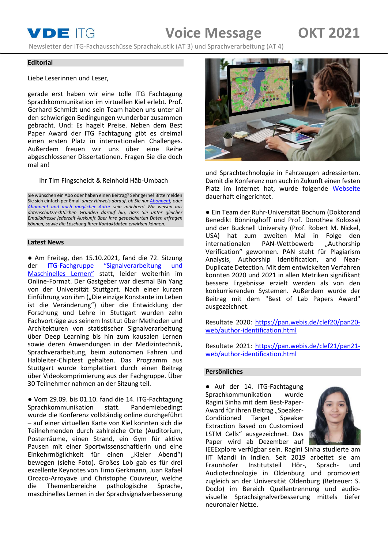# **VDE** ITG **Voice Message OKT 2021**

Newsletter der ITG-Fachausschüsse Sprachakustik (AT 3) und Sprachverarbeitung (AT 4)

#### **Editorial**

Liebe Leserinnen und Leser,

gerade erst haben wir eine tolle ITG Fachtagung Sprachkommunikation im virtuellen Kiel erlebt. Prof. Gerhard Schmidt und sein Team haben uns unter all den schwierigen Bedingungen wunderbar zusammen gebracht. Und: Es hagelt Preise. Neben dem Best Paper Award der ITG Fachtagung gibt es dreimal einen ersten Platz in internationalen Challenges. Außerdem freuen wir uns über eine Reihe abgeschlossener Dissertationen. Fragen Sie die doch mal an!

Ihr Tim Fingscheidt & Reinhold Häb-Umbach

Sie wünschen ein Abo oder haben einen Beitrag? Sehr gerne! Bitte melden Sie sich einfach per Email *unter Hinweis darauf, ob Sie nu[r Abonnent,](mailto:t.fingscheidt@tu-bs.de?subject=Abo%20Voice%20Message%20(kein%20Beitrag)) oder [Abonnent und auch möglicher Autor](mailto:t.fingscheidt@tu-bs.de?subject=Abo%20und%20Beitrag%20Voice%20Message) sein möchten! Wir weisen aus datenschutzrechtlichen Gründen darauf hin, dass Sie unter gleicher Emailadresse jederzeit Auskunft über Ihre gespeicherten Daten erfragen können, sowie die Löschung Ihrer Kontaktdaten erwirken können.*

#### **Latest News**

● Am Freitag, den 15.10.2021, fand die 72. Sitzung der ITG-[Fachgruppe "Signalverarbeitung und](http://itg-signalverarbeitung-und-maschinelles-lernen.de/)  [Maschinelles Lernen"](http://itg-signalverarbeitung-und-maschinelles-lernen.de/) statt, leider weiterhin im Online-Format. Der Gastgeber war diesmal Bin Yang von der Universität Stuttgart. Nach einer kurzen Einführung von ihm ("Die einzige Konstante im Leben ist die Veränderung") über die Entwicklung der Forschung und Lehre in Stuttgart wurden zehn Fachvorträge aus seinem Institut über Methoden und Architekturen von statistischer Signalverarbeitung über Deep Learning bis hin zum kausalen Lernen sowie deren Anwendungen in der Medizintechnik, Sprachverarbeitung, beim autonomen Fahren und Halbleiter-Chiptest gehalten. Das Programm aus Stuttgart wurde komplettiert durch einen Beitrag über Videokomprimierung aus der Fachgruppe. Über 30 Teilnehmer nahmen an der Sitzung teil.

● Vom 29.09. bis 01.10. fand die 14. ITG-Fachtagung Sprachkommunikation statt. Pandemiebedingt wurde die Konferenz vollständig online durchgeführt – auf einer virtuellen Karte von Kiel konnten sich die Teilnehmenden durch zahlreiche Orte (Auditorium, Posterräume, einen Strand, ein Gym für aktive Pausen mit einer Sportwissenschaftlerin und eine Einkehrmöglichkeit für einen "Kieler Abend") bewegen (siehe Foto). Großes Lob gab es für drei exzellente Keynotes von Timo Gerkmann, Juan Rafael Orozco-Arroyave und Christophe Couvreur, welche<br>die Themenbereiche pathologische Sprache, die Themenbereiche pathologische Sprache, maschinelles Lernen in der Sprachsignalverbesserung



und Sprachtechnologie in Fahrzeugen adressierten. Damit die Konferenz nun auch in Zukunft einen festen Platz im Internet hat, wurde folgende [Webseite](https://itg-speech-communication.de/) dauerhaft eingerichtet.

● Ein Team der Ruhr-Universität Bochum (Doktorand Benedikt Bönninghoff und Prof. Dorothea Kolossa) und der Bucknell University (Prof. Robert M. Nickel, USA) hat zum zweiten Mal in Folge den<br>internationalen PAN-Wettbewerb "Authorship internationalen PAN-Wettbewerb Verification" gewonnen. PAN steht für Plagiarism Analysis, Authorship Identification, and Near-Duplicate Detection. Mit dem entwickelten Verfahren konnten 2020 und 2021 in allen Metriken signifikant bessere Ergebnisse erzielt werden als von den konkurrierenden Systemen. Außerdem wurde der Beitrag mit dem "Best of Lab Papers Award" ausgezeichnet.

Resultate 2020: [https://pan.webis.de/clef20/pan20](https://pan.webis.de/clef20/pan20-web/author-identification.html) [web/author-identification.html](https://pan.webis.de/clef20/pan20-web/author-identification.html)

Resultate 2021: https://pan.webis.de/clef21/pan21 web/author-identification.html

# **Persönliches**

● Auf der 14. ITG-Fachtagung Sprachkommunikation wurde Ragini Sinha mit dem Best-Paper-Award für ihren Beitrag "Speaker-Conditioned Target Speaker Extraction Based on Customized LSTM Cells" ausgezeichnet. Das Paper wird ab Dezember auf



IEEExplore verfügbar sein. Ragini Sinha studierte am IIT Mandi in Indien. Seit 2019 arbeitet sie am Fraunhofer Institutsteil Hör-, Sprach- und Audiotechnologie in Oldenburg und promoviert zugleich an der Universität Oldenburg (Betreuer: S. Doclo) im Bereich Quellentrennung und audiovisuelle Sprachsignalverbesserung mittels tiefer neuronaler Netze.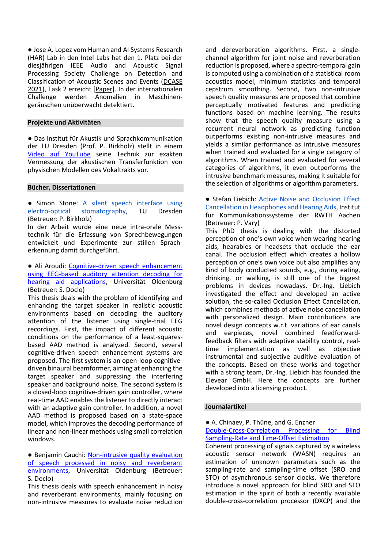● Jose A. Lopez vom Human and AI Systems Research (HAR) Lab in den Intel Labs hat den 1. Platz bei der diesjährigen IEEE Audio and Acoustic Signal Processing Society Challenge on Detection and Classification of Acoustic Scenes and Events [\(DCASE](http://dcase.community/articles/dcase2021-challenge-evaluation-datasets-available)  [2021\)](http://dcase.community/articles/dcase2021-challenge-evaluation-datasets-available), Task 2 erreicht [\[Paper\]](http://dcase.community/documents/challenge2021/technical_reports/DCASE2021_Lopez_6_t2.pdf). In der internationalen Challenge werden Anomalien in Maschinengeräuschen unüberwacht detektiert.

### **Projekte und Aktivitäten**

● Das Institut für Akustik und Sprachkommunikation der TU Dresden (Prof. P. Birkholz) stellt in einem [Video auf YouTube](https://youtu.be/9AoRS9X2BNY) seine Technik zur exakten Vermessung der akustischen Transferfunktion von physischen Modellen des Vokaltrakts vor.

### **Bücher, Dissertationen**

● Simon Stone: A silent speech interface using electro-optical stomatography, TU Dresden (Betreuer: P. Birkholz)

In der Arbeit wurde eine neue intra-orale Messtechnik für die Erfassung von Sprechbewegungen entwickelt und Experimente zur stillen Spracherkennung damit durchgeführt.

### ● Ali Aroudi: [Cognitive-driven speech enhancement](https://uol.de/f/6/dept/mediphysik/ag/sigproc/download/papers/phd/Aroudi_PhD_Thesis.pdf)  [using EEG-based auditory attention decoding for](https://uol.de/f/6/dept/mediphysik/ag/sigproc/download/papers/phd/Aroudi_PhD_Thesis.pdf)  [hearing aid applications,](https://uol.de/f/6/dept/mediphysik/ag/sigproc/download/papers/phd/Aroudi_PhD_Thesis.pdf) Universität Oldenburg (Betreuer: S. Doclo)

This thesis deals with the problem of identifying and enhancing the target speaker in realistic acoustic environments based on decoding the auditory attention of the listener using single-trial EEG recordings. First, the impact of different acoustic conditions on the performance of a least-squaresbased AAD method is analyzed. Second, several cognitive-driven speech enhancement systems are proposed. The first system is an open-loop cognitivedriven binaural beamformer, aiming at enhancing the target speaker and suppressing the interfering speaker and background noise. The second system is a closed-loop cognitive-driven gain controller, where real-time AAD enables the listener to directly interact with an adaptive gain controller. In addition, a novel AAD method is proposed based on a state-space model, which improves the decoding performance of linear and non-linear methods using small correlation windows.

# ● Benjamin Cauchi: [Non-intrusive quality evaluation](https://uol.de/f/6/dept/mediphysik/ag/sigproc/download/papers/phd/Cauchi_PhD_Thesis.pdf)  [of speech processed in noisy and reverberant](https://uol.de/f/6/dept/mediphysik/ag/sigproc/download/papers/phd/Cauchi_PhD_Thesis.pdf)  [environments,](https://uol.de/f/6/dept/mediphysik/ag/sigproc/download/papers/phd/Cauchi_PhD_Thesis.pdf) Universität Oldenburg (Betreuer: S. Doclo)

This thesis deals with speech enhancement in noisy and reverberant environments, mainly focusing on non-intrusive measures to evaluate noise reduction and dereverberation algorithms. First, a singlechannel algorithm for joint noise and reverberation reduction is proposed, where a spectro-temporal gain is computed using a combination of a statistical room acoustics model, minimum statistics and temporal cepstrum smoothing. Second, two non-intrusive speech quality measures are proposed that combine perceptually motivated features and predicting functions based on machine learning. The results show that the speech quality measure using a recurrent neural network as predicting function outperforms existing non-intrusive measures and yields a similar performance as intrusive measures when trained and evaluated for a single category of algorithms. When trained and evaluated for several categories of algorithms, it even outperforms the intrusive benchmark measures, making it suitable for the selection of algorithms or algorithm parameters.

● Stefan Liebich: Active Noise and Occlusion Effect Cancellation in Headphones and Hearing Aids, Institut für Kommunikationssysteme der RWTH Aachen (Betreuer: P. Vary)

This PhD thesis is dealing with the distorted perception of one's own voice when wearing hearing aids, hearables or headsets that occlude the ear canal. The occlusion effect which creates a hollow perception of one's own voice but also amplifies any kind of body conducted sounds, e.g., during eating, drinking, or walking, is still one of the biggest problems in devices nowadays. Dr.-Ing. Liebich investigated the effect and developed an active solution, the so-called Occlusion Effect Cancellation, which combines methods of active noise cancellation with personalized design. Main contributions are novel design concepts w.r.t. variations of ear canals and earpieces, novel combined feedforwardfeedback filters with adaptive stability control, realtime implementation as well as objective instrumental and subjective auditive evaluation of the concepts. Based on these works and together with a strong team, Dr.-Ing. Liebich has founded the Elevear GmbH. Here the concepts are further developed into a licensing product.

# **Journalartikel**

● A. Chinaev, P. Thüne, and G. Enzner [Double-Cross-Correlation Processing for Blind](https://ieeexplore.ieee.org/abstract/document/9399796)  [Sampling-Rate and Time-Offset Estimation](https://ieeexplore.ieee.org/abstract/document/9399796)

Coherent processing of signals captured by a wireless acoustic sensor network (WASN) requires an estimation of unknown parameters such as the sampling-rate and sampling-time offset (SRO and STO) of asynchronous sensor clocks. We therefore introduce a novel approach for blind SRO and STO estimation in the spirit of both a recently available double-cross-correlation processor (DXCP) and the